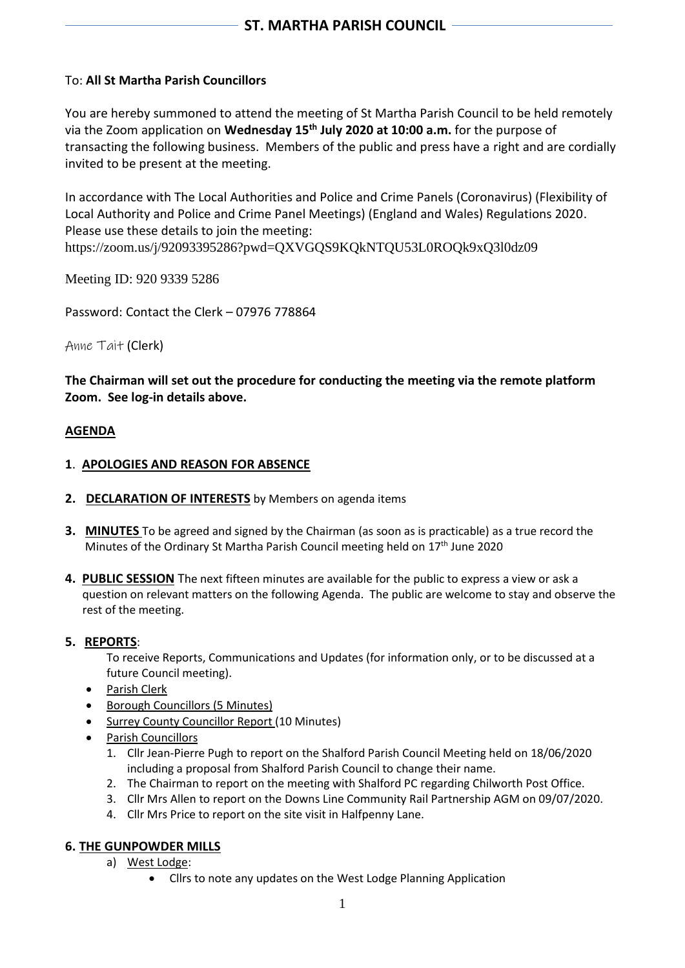# To: **All St Martha Parish Councillors**

You are hereby summoned to attend the meeting of St Martha Parish Council to be held remotely via the Zoom application on **Wednesday 15 th July 2020 at 10:00 a.m.** for the purpose of transacting the following business. Members of the public and press have a right and are cordially invited to be present at the meeting.

In accordance with The Local Authorities and Police and Crime Panels (Coronavirus) (Flexibility of Local Authority and Police and Crime Panel Meetings) (England and Wales) Regulations 2020. Please use these details to join the meeting: https://zoom.us/j/92093395286?pwd=QXVGQS9KQkNTQU53L0ROQk9xQ3l0dz09

Meeting ID: 920 9339 5286

Password: Contact the Clerk – 07976 778864

Anne Tait (Clerk)

**The Chairman will set out the procedure for conducting the meeting via the remote platform Zoom. See log-in details above.**

### **AGENDA**

### **1**. **APOLOGIES AND REASON FOR ABSENCE**

- **2. DECLARATION OF INTERESTS** by Members on agenda items
- **3. MINUTES** To be agreed and signed by the Chairman (as soon as is practicable) as a true record the Minutes of the Ordinary St Martha Parish Council meeting held on 17<sup>th</sup> June 2020
- **4. PUBLIC SESSION** The next fifteen minutes are available for the public to express a view or ask a question on relevant matters on the following Agenda. The public are welcome to stay and observe the rest of the meeting.

### **5. REPORTS**:

To receive Reports, Communications and Updates (for information only, or to be discussed at a future Council meeting).

- Parish Clerk
- Borough Councillors (5 Minutes)
- Surrey County Councillor Report (10 Minutes)
- Parish Councillors
	- 1. Cllr Jean-Pierre Pugh to report on the Shalford Parish Council Meeting held on 18/06/2020 including a proposal from Shalford Parish Council to change their name.
	- 2. The Chairman to report on the meeting with Shalford PC regarding Chilworth Post Office.
	- 3. Cllr Mrs Allen to report on the Downs Line Community Rail Partnership AGM on 09/07/2020.
	- 4. Cllr Mrs Price to report on the site visit in Halfpenny Lane.

### **6. THE GUNPOWDER MILLS**

- a) West Lodge:
	- Cllrs to note any updates on the West Lodge Planning Application